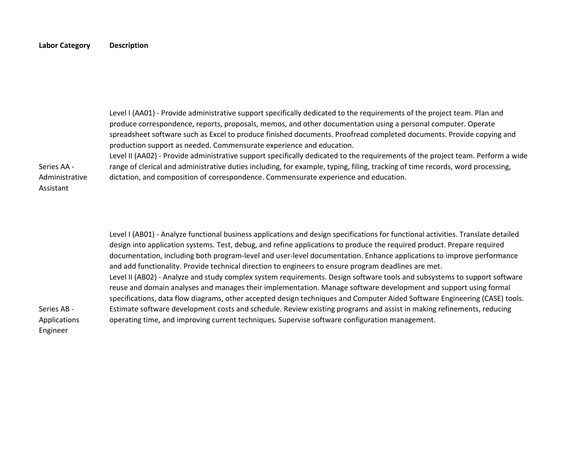Engineer

Series AA - Administrative Assistant Level I (AA01) - Provide administrative support specifically dedicated to the requirements of the project team. Plan and produce correspondence, reports, proposals, memos, and other documentation using a personal computer. Operate spreadsheet software such as Excel to produce finished documents. Proofread completed documents. Provide copying and production support as needed. Commensurate experience and education. Level II (AA02) - Provide administrative support specifically dedicated to the requirements of the project team. Perform a wide range of clerical and administrative duties including, for example, typing, filing, tracking of time records, word processing, dictation, and composition of correspondence. Commensurate experience and education.

Series AB - Applications Level I (AB01) - Analyze functional business applications and design specifications for functional activities. Translate detailed design into application systems. Test, debug, and refine applications to produce the required product. Prepare required documentation, including both program-level and user-level documentation. Enhance applications to improve performance and add functionality. Provide technical direction to engineers to ensure program deadlines are met. Level II (AB02) - Analyze and study complex system requirements. Design software tools and subsystems to support software reuse and domain analyses and manages their implementation. Manage software development and support using formal specifications, data flow diagrams, other accepted design techniques and Computer Aided Software Engineering (CASE) tools. Estimate software development costs and schedule. Review existing programs and assist in making refinements, reducing operating time, and improving current techniques. Supervise software configuration management.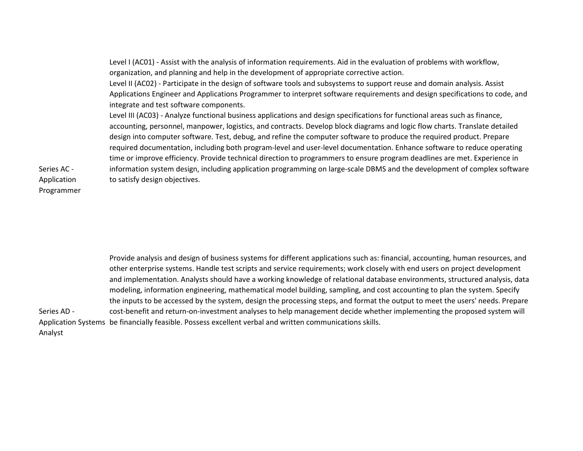Level I (AC01) - Assist with the analysis of information requirements. Aid in the evaluation of problems with workflow, organization, and planning and help in the development of appropriate corrective action.

Level II (AC02) - Participate in the design of software tools and subsystems to support reuse and domain analysis. Assist Applications Engineer and Applications Programmer to interpret software requirements and design specifications to code, and integrate and test software components.

Level III (AC03) - Analyze functional business applications and design specifications for functional areas such as finance, accounting, personnel, manpower, logistics, and contracts. Develop block diagrams and logic flow charts. Translate detailed design into computer software. Test, debug, and refine the computer software to produce the required product. Prepare required documentation, including both program-level and user-level documentation. Enhance software to reduce operating time or improve efficiency. Provide technical direction to programmers to ensure program deadlines are met. Experience in information system design, including application programming on large-scale DBMS and the development of complex software to satisfy design objectives.

Series AC - Application Programmer

Series AD - Application Systems be financially feasible. Possess excellent verbal and written communications skills.Analyst Provide analysis and design of business systems for different applications such as: financial, accounting, human resources, and other enterprise systems. Handle test scripts and service requirements; work closely with end users on project development and implementation. Analysts should have a working knowledge of relational database environments, structured analysis, data modeling, information engineering, mathematical model building, sampling, and cost accounting to plan the system. Specify the inputs to be accessed by the system, design the processing steps, and format the output to meet the users' needs. Prepare cost-benefit and return-on-investment analyses to help management decide whether implementing the proposed system will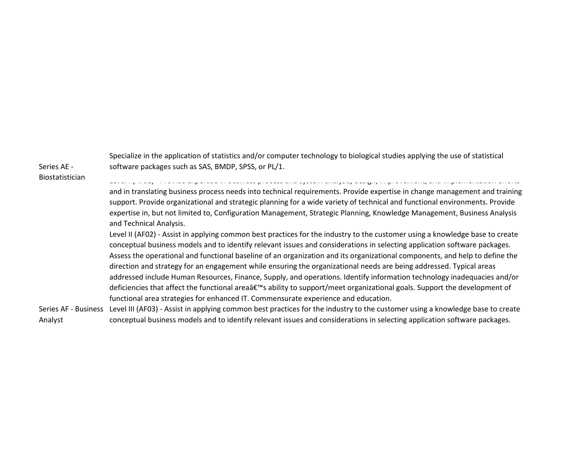| Series AE -<br>Biostatistician | Specialize in the application of statistics and/or computer technology to biological studies applying the use of statistical<br>software packages such as SAS, BMDP, SPSS, or PL/1.<br>i i se zama sungan sua un manurung pranana unu a pasan munipang mangrip ni pranananap unu ni pranisa sua sanan                                                                                                                                                                                                                                                                                                                                                                                                                                                                                                                                                       |
|--------------------------------|-------------------------------------------------------------------------------------------------------------------------------------------------------------------------------------------------------------------------------------------------------------------------------------------------------------------------------------------------------------------------------------------------------------------------------------------------------------------------------------------------------------------------------------------------------------------------------------------------------------------------------------------------------------------------------------------------------------------------------------------------------------------------------------------------------------------------------------------------------------|
|                                | and in translating business process needs into technical requirements. Provide expertise in change management and training<br>support. Provide organizational and strategic planning for a wide variety of technical and functional environments. Provide<br>expertise in, but not limited to, Configuration Management, Strategic Planning, Knowledge Management, Business Analysis<br>and Technical Analysis.                                                                                                                                                                                                                                                                                                                                                                                                                                             |
|                                | Level II (AF02) - Assist in applying common best practices for the industry to the customer using a knowledge base to create<br>conceptual business models and to identify relevant issues and considerations in selecting application software packages.<br>Assess the operational and functional baseline of an organization and its organizational components, and help to define the<br>direction and strategy for an engagement while ensuring the organizational needs are being addressed. Typical areas<br>addressed include Human Resources, Finance, Supply, and operations. Identify information technology inadequacies and/or<br>deficiencies that affect the functional area's ability to support/meet organizational goals. Support the development of<br>functional area strategies for enhanced IT. Commensurate experience and education. |
| Series AF - Business           | Level III (AF03) - Assist in applying common best practices for the industry to the customer using a knowledge base to create                                                                                                                                                                                                                                                                                                                                                                                                                                                                                                                                                                                                                                                                                                                               |
| Analyst                        | conceptual business models and to identify relevant issues and considerations in selecting application software packages.                                                                                                                                                                                                                                                                                                                                                                                                                                                                                                                                                                                                                                                                                                                                   |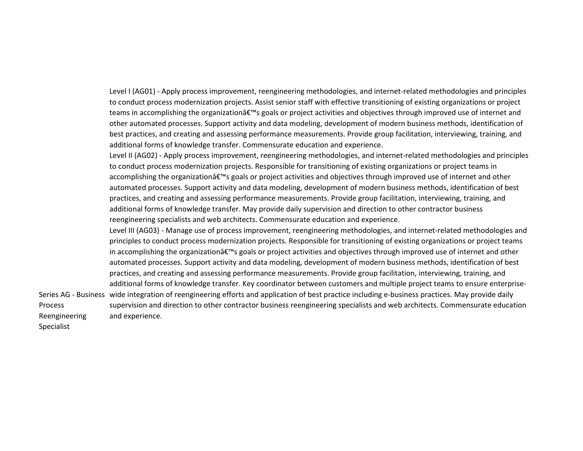Level I (AG01) - Apply process improvement, reengineering methodologies, and internet-related methodologies and principles to conduct process modernization projects. Assist senior staff with effective transitioning of existing organizations or project teams in accomplishing the organization's goals or project activities and objectives through improved use of internet and other automated processes. Support activity and data modeling, development of modern business methods, identification of best practices, and creating and assessing performance measurements. Provide group facilitation, interviewing, training, and additional forms of knowledge transfer. Commensurate education and experience.

Level II (AG02) - Apply process improvement, reengineering methodologies, and internet-related methodologies and principles to conduct process modernization projects. Responsible for transitioning of existing organizations or project teams in accomplishing the organizationâ€<sup>™</sup>s goals or project activities and objectives through improved use of internet and other automated processes. Support activity and data modeling, development of modern business methods, identification of best practices, and creating and assessing performance measurements. Provide group facilitation, interviewing, training, and additional forms of knowledge transfer. May provide daily supervision and direction to other contractor business reengineering specialists and web architects. Commensurate education and experience.

Level III (AG03) - Manage use of process improvement, reengineering methodologies, and internet-related methodologies and principles to conduct process modernization projects. Responsible for transitioning of existing organizations or project teams in accomplishing the organization $\hat{a}\epsilon^{rw}$ s goals or project activities and objectives through improved use of internet and other automated processes. Support activity and data modeling, development of modern business methods, identification of best practices, and creating and assessing performance measurements. Provide group facilitation, interviewing, training, and additional forms of knowledge transfer. Key coordinator between customers and multiple project teams to ensure enterprise-

Series AG - Business wide integration of reengineering efforts and application of best practice including e-business practices. May provide daily Process Reengineering supervision and direction to other contractor business reengineering specialists and web architects. Commensurate education and experience.

Specialist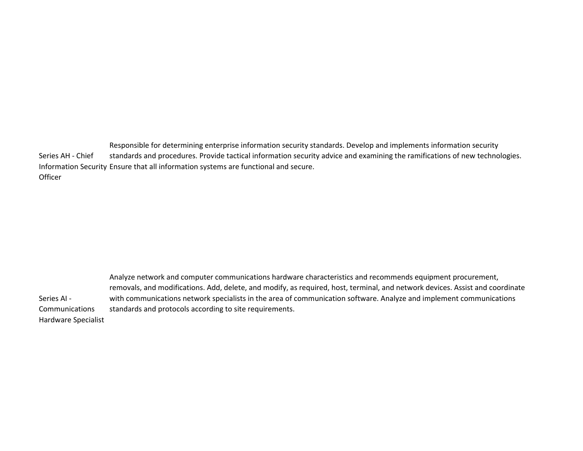Series AH - Chief Information Security Ensure that all information systems are functional and secure. **Officer** Responsible for determining enterprise information security standards. Develop and implements information security standards and procedures. Provide tactical information security advice and examining the ramifications of new technologies.

Series AI - **Communications** Hardware Specialist Analyze network and computer communications hardware characteristics and recommends equipment procurement, removals, and modifications. Add, delete, and modify, as required, host, terminal, and network devices. Assist and coordinate with communications network specialists in the area of communication software. Analyze and implement communications standards and protocols according to site requirements.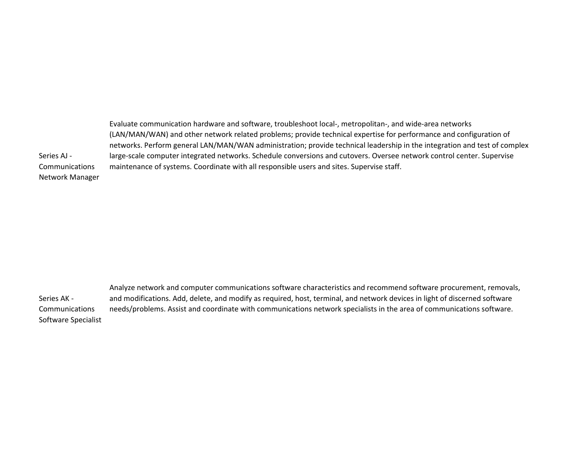Series AJ - Communications Network Manager Evaluate communication hardware and software, troubleshoot local-, metropolitan-, and wide-area networks (LAN/MAN/WAN) and other network related problems; provide technical expertise for performance and configuration of networks. Perform general LAN/MAN/WAN administration; provide technical leadership in the integration and test of complex large-scale computer integrated networks. Schedule conversions and cutovers. Oversee network control center. Supervise maintenance of systems. Coordinate with all responsible users and sites. Supervise staff.

Series AK - **Communications** Software Specialist Analyze network and computer communications software characteristics and recommend software procurement, removals, and modifications. Add, delete, and modify as required, host, terminal, and network devices in light of discerned software needs/problems. Assist and coordinate with communications network specialists in the area of communications software.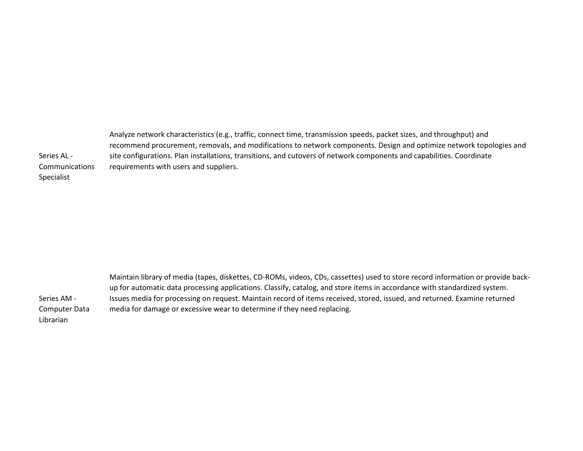Series AL - Communications Specialist Analyze network characteristics (e.g., traffic, connect time, transmission speeds, packet sizes, and throughput) and recommend procurement, removals, and modifications to network components. Design and optimize network topologies and site configurations. Plan installations, transitions, and cutovers of network components and capabilities. Coordinate requirements with users and suppliers.

Series AM - Computer Data Librarian Maintain library of media (tapes, diskettes, CD-ROMs, videos, CDs, cassettes) used to store record information or provide backup for automatic data processing applications. Classify, catalog, and store items in accordance with standardized system. Issues media for processing on request. Maintain record of items received, stored, issued, and returned. Examine returned media for damage or excessive wear to determine if they need replacing.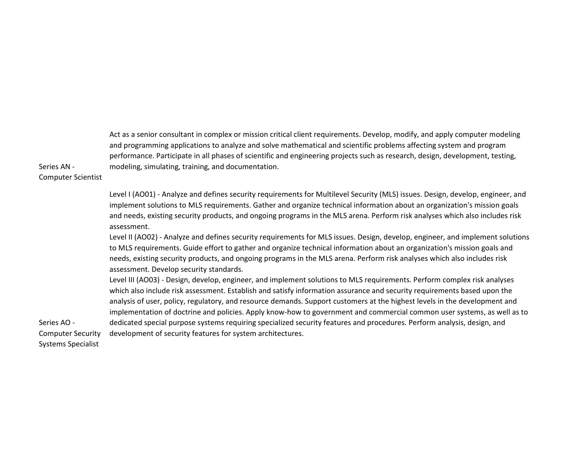Act as a senior consultant in complex or mission critical client requirements. Develop, modify, and apply computer modeling and programming applications to analyze and solve mathematical and scientific problems affecting system and program performance. Participate in all phases of scientific and engineering projects such as research, design, development, testing, modeling, simulating, training, and documentation.

Series AN -

Computer Scientist

Level I (AO01) - Analyze and defines security requirements for Multilevel Security (MLS) issues. Design, develop, engineer, and implement solutions to MLS requirements. Gather and organize technical information about an organization's mission goals and needs, existing security products, and ongoing programs in the MLS arena. Perform risk analyses which also includes risk assessment.

Level II (AO02) - Analyze and defines security requirements for MLS issues. Design, develop, engineer, and implement solutions to MLS requirements. Guide effort to gather and organize technical information about an organization's mission goals and needs, existing security products, and ongoing programs in the MLS arena. Perform risk analyses which also includes risk assessment. Develop security standards.

Level III (AO03) - Design, develop, engineer, and implement solutions to MLS requirements. Perform complex risk analyses which also include risk assessment. Establish and satisfy information assurance and security requirements based upon the analysis of user, policy, regulatory, and resource demands. Support customers at the highest levels in the development and implementation of doctrine and policies. Apply know-how to government and commercial common user systems, as well as to dedicated special purpose systems requiring specialized security features and procedures. Perform analysis, design, and development of security features for system architectures.

Series AO - Computer Security Systems Specialist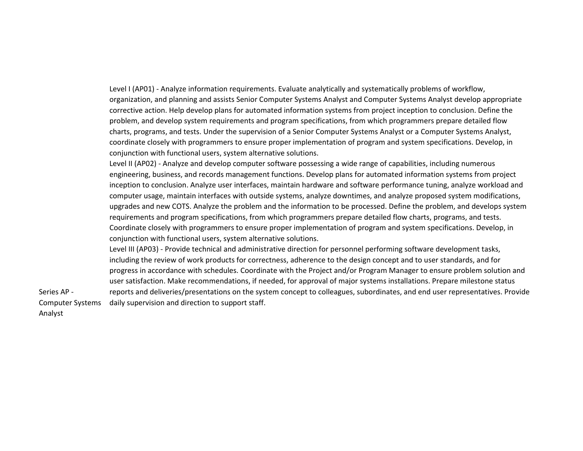Level I (AP01) - Analyze information requirements. Evaluate analytically and systematically problems of workflow, organization, and planning and assists Senior Computer Systems Analyst and Computer Systems Analyst develop appropriate corrective action. Help develop plans for automated information systems from project inception to conclusion. Define the problem, and develop system requirements and program specifications, from which programmers prepare detailed flow charts, programs, and tests. Under the supervision of a Senior Computer Systems Analyst or a Computer Systems Analyst, coordinate closely with programmers to ensure proper implementation of program and system specifications. Develop, in conjunction with functional users, system alternative solutions.

Level II (AP02) - Analyze and develop computer software possessing a wide range of capabilities, including numerous engineering, business, and records management functions. Develop plans for automated information systems from project inception to conclusion. Analyze user interfaces, maintain hardware and software performance tuning, analyze workload and computer usage, maintain interfaces with outside systems, analyze downtimes, and analyze proposed system modifications, upgrades and new COTS. Analyze the problem and the information to be processed. Define the problem, and develops system requirements and program specifications, from which programmers prepare detailed flow charts, programs, and tests. Coordinate closely with programmers to ensure proper implementation of program and system specifications. Develop, in conjunction with functional users, system alternative solutions.

Level III (AP03) - Provide technical and administrative direction for personnel performing software development tasks, including the review of work products for correctness, adherence to the design concept and to user standards, and for progress in accordance with schedules. Coordinate with the Project and/or Program Manager to ensure problem solution and user satisfaction. Make recommendations, if needed, for approval of major systems installations. Prepare milestone status

reports and deliveries/presentations on the system concept to colleagues, subordinates, and end user representatives. Provide

Series AP - Computer Systems Analyst

daily supervision and direction to support staff.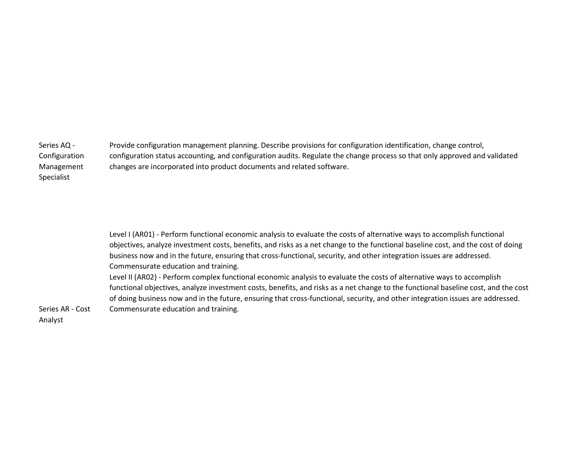Series AQ - Configuration Management Specialist Provide configuration management planning. Describe provisions for configuration identification, change control, configuration status accounting, and configuration audits. Regulate the change process so that only approved and validated changes are incorporated into product documents and related software.

> Level I (AR01) - Perform functional economic analysis to evaluate the costs of alternative ways to accomplish functional objectives, analyze investment costs, benefits, and risks as a net change to the functional baseline cost, and the cost of doing business now and in the future, ensuring that cross-functional, security, and other integration issues are addressed. Commensurate education and training.

Level II (AR02) - Perform complex functional economic analysis to evaluate the costs of alternative ways to accomplish functional objectives, analyze investment costs, benefits, and risks as a net change to the functional baseline cost, and the cost of doing business now and in the future, ensuring that cross-functional, security, and other integration issues are addressed.

Series AR - Cost Commensurate education and training.

Analyst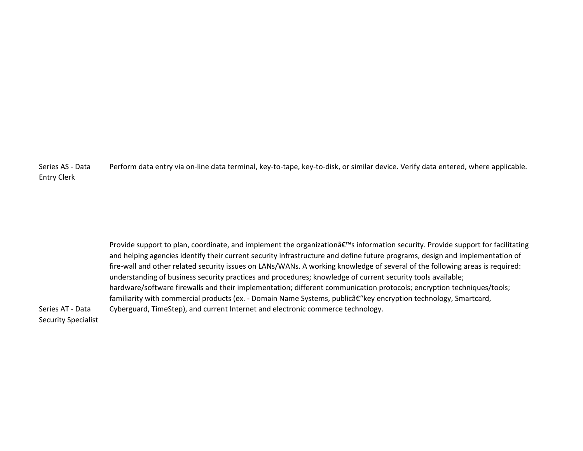Series AS - Data Entry Clerk Perform data entry via on-line data terminal, key-to-tape, key-to-disk, or similar device. Verify data entered, where applicable.

Provide support to plan, coordinate, and implement the organizationâ€<sup>™</sup>s information security. Provide support for facilitating and helping agencies identify their current security infrastructure and define future programs, design and implementation of fire-wall and other related security issues on LANs/WANs. A working knowledge of several of the following areas is required: understanding of business security practices and procedures; knowledge of current security tools available; hardware/software firewalls and their implementation; different communication protocols; encryption techniques/tools; familiarity with commercial products (ex. - Domain Name Systems, publicâ€"key encryption technology, Smartcard, Cyberguard, TimeStep), and current Internet and electronic commerce technology.

Series AT - Data Security Specialist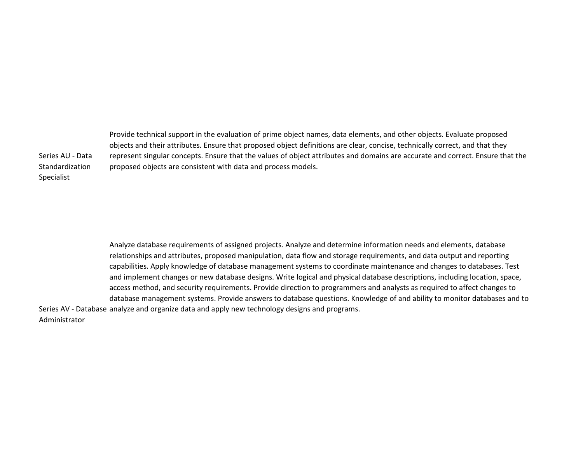Series AU - Data **Standardization** Specialist Provide technical support in the evaluation of prime object names, data elements, and other objects. Evaluate proposed objects and their attributes. Ensure that proposed object definitions are clear, concise, technically correct, and that they represent singular concepts. Ensure that the values of object attributes and domains are accurate and correct. Ensure that the proposed objects are consistent with data and process models.

Series AV - Database analyze and organize data and apply new technology designs and programs. Administrator Analyze database requirements of assigned projects. Analyze and determine information needs and elements, database relationships and attributes, proposed manipulation, data flow and storage requirements, and data output and reporting capabilities. Apply knowledge of database management systems to coordinate maintenance and changes to databases. Test and implement changes or new database designs. Write logical and physical database descriptions, including location, space, access method, and security requirements. Provide direction to programmers and analysts as required to affect changes to database management systems. Provide answers to database questions. Knowledge of and ability to monitor databases and to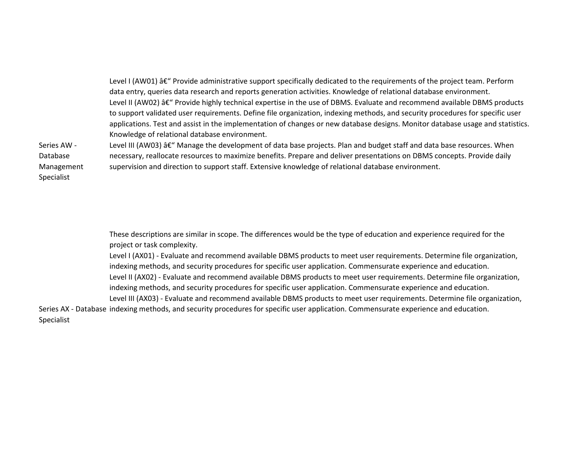Level I (AW01)  $\hat{a}\in\hat{C}$  Provide administrative support specifically dedicated to the requirements of the project team. Perform data entry, queries data research and reports generation activities. Knowledge of relational database environment. Level II (AW02) â€" Provide highly technical expertise in the use of DBMS. Evaluate and recommend available DBMS products to support validated user requirements. Define file organization, indexing methods, and security procedures for specific user applications. Test and assist in the implementation of changes or new database designs. Monitor database usage and statistics. Knowledge of relational database environment.

Series AW - Database Management Level III (AW03) â€" Manage the development of data base projects. Plan and budget staff and data base resources. When necessary, reallocate resources to maximize benefits. Prepare and deliver presentations on DBMS concepts. Provide daily supervision and direction to support staff. Extensive knowledge of relational database environment.

Specialist

These descriptions are similar in scope. The differences would be the type of education and experience required for the project or task complexity.

Level I (AX01) - Evaluate and recommend available DBMS products to meet user requirements. Determine file organization, indexing methods, and security procedures for specific user application. Commensurate experience and education. Level II (AX02) - Evaluate and recommend available DBMS products to meet user requirements. Determine file organization, indexing methods, and security procedures for specific user application. Commensurate experience and education. Level III (AX03) - Evaluate and recommend available DBMS products to meet user requirements. Determine file organization,

Series AX - Database indexing methods, and security procedures for specific user application. Commensurate experience and education. Specialist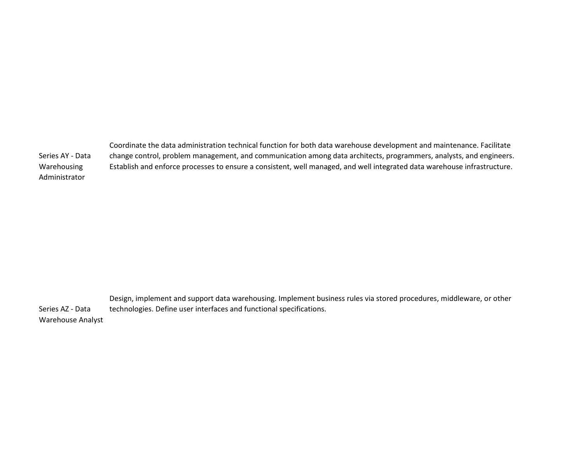Series AY - Data Warehousing Administrator Coordinate the data administration technical function for both data warehouse development and maintenance. Facilitate change control, problem management, and communication among data architects, programmers, analysts, and engineers. Establish and enforce processes to ensure a consistent, well managed, and well integrated data warehouse infrastructure.

Series AZ - Data Warehouse Analyst Design, implement and support data warehousing. Implement business rules via stored procedures, middleware, or other technologies. Define user interfaces and functional specifications.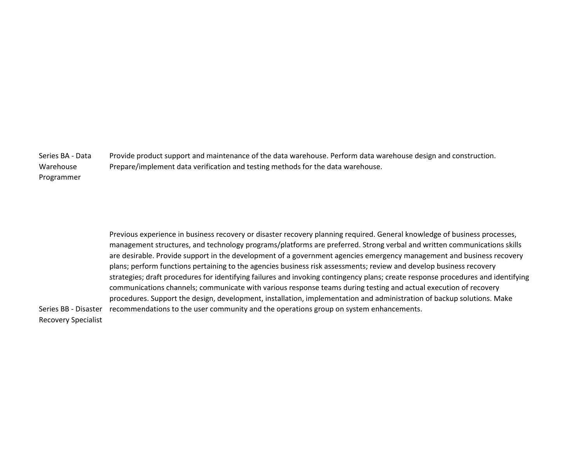Series BA - Data Warehouse Programmer Provide product support and maintenance of the data warehouse. Perform data warehouse design and construction. Prepare/implement data verification and testing methods for the data warehouse.

Series BB - Disaster recommendations to the user community and the operations group on system enhancements. Recovery Specialist Previous experience in business recovery or disaster recovery planning required. General knowledge of business processes, management structures, and technology programs/platforms are preferred. Strong verbal and written communications skills are desirable. Provide support in the development of a government agencies emergency management and business recovery plans; perform functions pertaining to the agencies business risk assessments; review and develop business recovery strategies; draft procedures for identifying failures and invoking contingency plans; create response procedures and identifying communications channels; communicate with various response teams during testing and actual execution of recovery procedures. Support the design, development, installation, implementation and administration of backup solutions. Make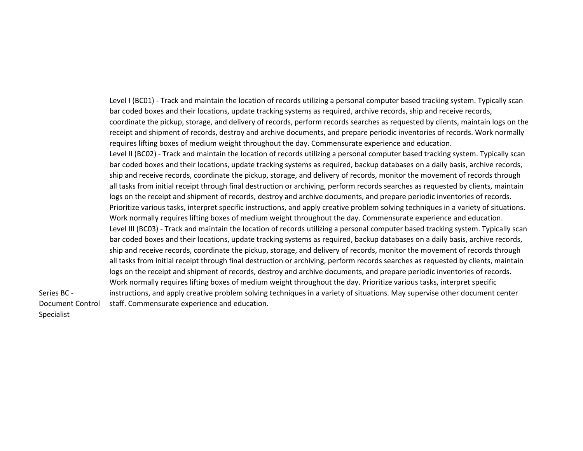Level I (BC01) - Track and maintain the location of records utilizing a personal computer based tracking system. Typically scan bar coded boxes and their locations, update tracking systems as required, archive records, ship and receive records, coordinate the pickup, storage, and delivery of records, perform records searches as requested by clients, maintain logs on the receipt and shipment of records, destroy and archive documents, and prepare periodic inventories of records. Work normally requires lifting boxes of medium weight throughout the day. Commensurate experience and education. Level II (BC02) - Track and maintain the location of records utilizing a personal computer based tracking system. Typically scan

bar coded boxes and their locations, update tracking systems as required, backup databases on a daily basis, archive records, ship and receive records, coordinate the pickup, storage, and delivery of records, monitor the movement of records through all tasks from initial receipt through final destruction or archiving, perform records searches as requested by clients, maintain logs on the receipt and shipment of records, destroy and archive documents, and prepare periodic inventories of records. Prioritize various tasks, interpret specific instructions, and apply creative problem solving techniques in a variety of situations. Work normally requires lifting boxes of medium weight throughout the day. Commensurate experience and education. Level III (BC03) - Track and maintain the location of records utilizing a personal computer based tracking system. Typically scan bar coded boxes and their locations, update tracking systems as required, backup databases on a daily basis, archive records, ship and receive records, coordinate the pickup, storage, and delivery of records, monitor the movement of records through all tasks from initial receipt through final destruction or archiving, perform records searches as requested by clients, maintain logs on the receipt and shipment of records, destroy and archive documents, and prepare periodic inventories of records. Work normally requires lifting boxes of medium weight throughout the day. Prioritize various tasks, interpret specific instructions, and apply creative problem solving techniques in a variety of situations. May supervise other document center

Series BC - Document Control Specialist

staff. Commensurate experience and education.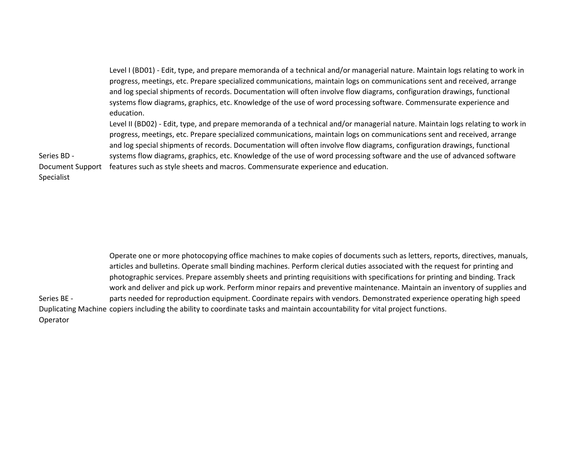Level I (BD01) - Edit, type, and prepare memoranda of a technical and/or managerial nature. Maintain logs relating to work in progress, meetings, etc. Prepare specialized communications, maintain logs on communications sent and received, arrange and log special shipments of records. Documentation will often involve flow diagrams, configuration drawings, functional systems flow diagrams, graphics, etc. Knowledge of the use of word processing software. Commensurate experience and education.

Level II (BD02) - Edit, type, and prepare memoranda of a technical and/or managerial nature. Maintain logs relating to work in progress, meetings, etc. Prepare specialized communications, maintain logs on communications sent and received, arrange and log special shipments of records. Documentation will often involve flow diagrams, configuration drawings, functional

Series BD - Document Support features such as style sheets and macros. Commensurate experience and education. systems flow diagrams, graphics, etc. Knowledge of the use of word processing software and the use of advanced software

## Specialist

Series BE - Duplicating Machine copiers including the ability to coordinate tasks and maintain accountability for vital project functions.Operator Operate one or more photocopying office machines to make copies of documents such as letters, reports, directives, manuals, articles and bulletins. Operate small binding machines. Perform clerical duties associated with the request for printing and photographic services. Prepare assembly sheets and printing requisitions with specifications for printing and binding. Track work and deliver and pick up work. Perform minor repairs and preventive maintenance. Maintain an inventory of supplies and parts needed for reproduction equipment. Coordinate repairs with vendors. Demonstrated experience operating high speed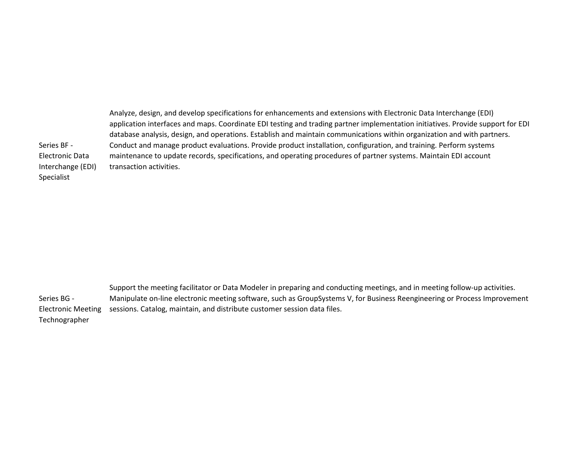Series BF - Electronic Data Interchange (EDI) Analyze, design, and develop specifications for enhancements and extensions with Electronic Data Interchange (EDI) application interfaces and maps. Coordinate EDI testing and trading partner implementation initiatives. Provide support for EDI database analysis, design, and operations. Establish and maintain communications within organization and with partners. Conduct and manage product evaluations. Provide product installation, configuration, and training. Perform systems maintenance to update records, specifications, and operating procedures of partner systems. Maintain EDI account transaction activities.

Specialist

Series BG - Electronic Meeting Technographer Support the meeting facilitator or Data Modeler in preparing and conducting meetings, and in meeting follow-up activities. Manipulate on-line electronic meeting software, such as GroupSystems V, for Business Reengineering or Process Improvement sessions. Catalog, maintain, and distribute customer session data files.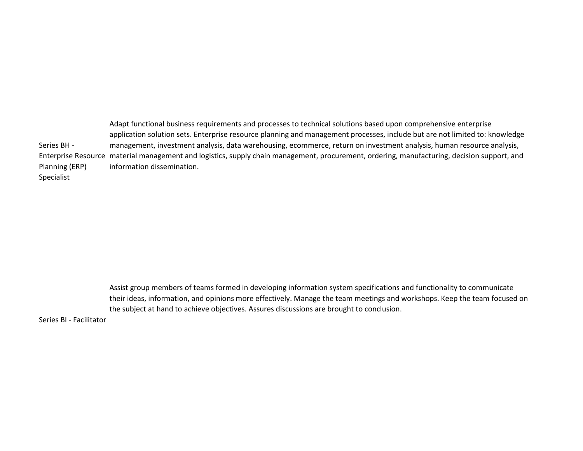Series BH - Enterprise Resource material management and logistics, supply chain management, procurement, ordering, manufacturing, decision support, and Planning (ERP) Specialist Adapt functional business requirements and processes to technical solutions based upon comprehensive enterprise application solution sets. Enterprise resource planning and management processes, include but are not limited to: knowledge management, investment analysis, data warehousing, ecommerce, return on investment analysis, human resource analysis, information dissemination.

> Assist group members of teams formed in developing information system specifications and functionality to communicate their ideas, information, and opinions more effectively. Manage the team meetings and workshops. Keep the team focused on the subject at hand to achieve objectives. Assures discussions are brought to conclusion.

Series BI - Facilitator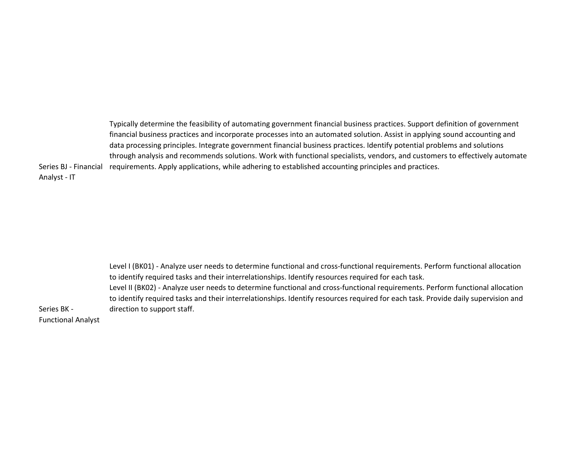Series BJ - Financial requirements. Apply applications, while adhering to established accounting principles and practices. Typically determine the feasibility of automating government financial business practices. Support definition of government financial business practices and incorporate processes into an automated solution. Assist in applying sound accounting and data processing principles. Integrate government financial business practices. Identify potential problems and solutions through analysis and recommends solutions. Work with functional specialists, vendors, and customers to effectively automate

Analyst - IT

Series BK - Level I (BK01) - Analyze user needs to determine functional and cross-functional requirements. Perform functional allocation to identify required tasks and their interrelationships. Identify resources required for each task. Level II (BK02) - Analyze user needs to determine functional and cross-functional requirements. Perform functional allocation to identify required tasks and their interrelationships. Identify resources required for each task. Provide daily supervision and direction to support staff.

Functional Analyst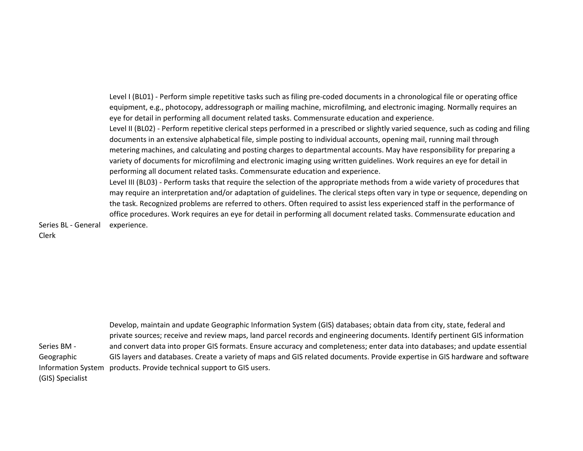Level I (BL01) - Perform simple repetitive tasks such as filing pre-coded documents in a chronological file or operating office equipment, e.g., photocopy, addressograph or mailing machine, microfilming, and electronic imaging. Normally requires an eye for detail in performing all document related tasks. Commensurate education and experience.

Level II (BL02) - Perform repetitive clerical steps performed in a prescribed or slightly varied sequence, such as coding and filing documents in an extensive alphabetical file, simple posting to individual accounts, opening mail, running mail through metering machines, and calculating and posting charges to departmental accounts. May have responsibility for preparing a variety of documents for microfilming and electronic imaging using written guidelines. Work requires an eye for detail in performing all document related tasks. Commensurate education and experience.

Level III (BL03) - Perform tasks that require the selection of the appropriate methods from a wide variety of procedures that may require an interpretation and/or adaptation of guidelines. The clerical steps often vary in type or sequence, depending on the task. Recognized problems are referred to others. Often required to assist less experienced staff in the performance of office procedures. Work requires an eye for detail in performing all document related tasks. Commensurate education and experience.

Clerk

Series BL - General

Series BM - Geographic Information System products. Provide technical support to GIS users.(GIS) Specialist Develop, maintain and update Geographic Information System (GIS) databases; obtain data from city, state, federal and private sources; receive and review maps, land parcel records and engineering documents. Identify pertinent GIS information and convert data into proper GIS formats. Ensure accuracy and completeness; enter data into databases; and update essential GIS layers and databases. Create a variety of maps and GIS related documents. Provide expertise in GIS hardware and software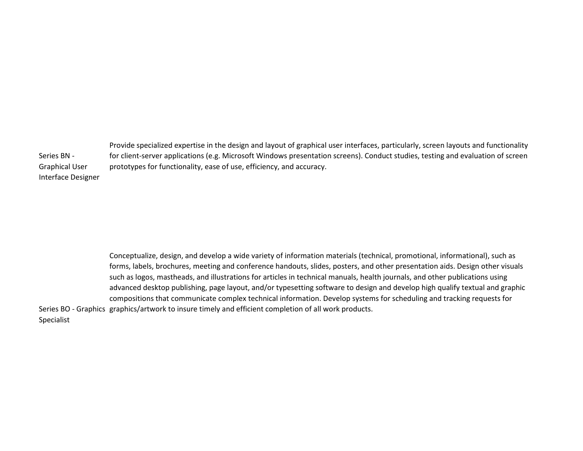Series BN - Graphical User Interface Designer Provide specialized expertise in the design and layout of graphical user interfaces, particularly, screen layouts and functionality for client-server applications (e.g. Microsoft Windows presentation screens). Conduct studies, testing and evaluation of screen prototypes for functionality, ease of use, efficiency, and accuracy.

Series BO - Graphics graphics/artwork to insure timely and efficient completion of all work products. Specialist Conceptualize, design, and develop a wide variety of information materials (technical, promotional, informational), such as forms, labels, brochures, meeting and conference handouts, slides, posters, and other presentation aids. Design other visuals such as logos, mastheads, and illustrations for articles in technical manuals, health journals, and other publications using advanced desktop publishing, page layout, and/or typesetting software to design and develop high qualify textual and graphic compositions that communicate complex technical information. Develop systems for scheduling and tracking requests for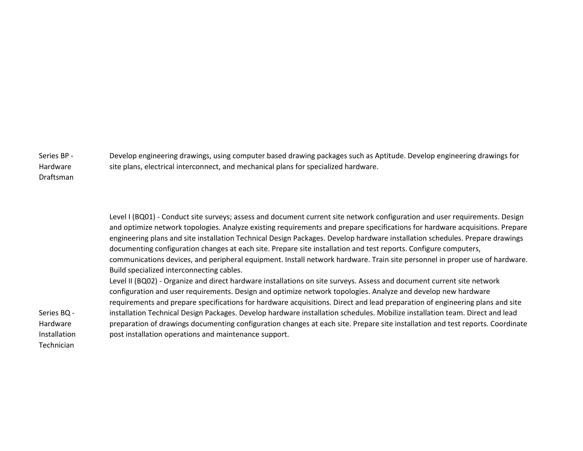Series BP - Hardware Draftsman Develop engineering drawings, using computer based drawing packages such as Aptitude. Develop engineering drawings for site plans, electrical interconnect, and mechanical plans for specialized hardware.

Level I (BQ01) - Conduct site surveys; assess and document current site network configuration and user requirements. Design and optimize network topologies. Analyze existing requirements and prepare specifications for hardware acquisitions. Prepare engineering plans and site installation Technical Design Packages. Develop hardware installation schedules. Prepare drawings documenting configuration changes at each site. Prepare site installation and test reports. Configure computers, communications devices, and peripheral equipment. Install network hardware. Train site personnel in proper use of hardware. Build specialized interconnecting cables.

Level II (BQ02) - Organize and direct hardware installations on site surveys. Assess and document current site network configuration and user requirements. Design and optimize network topologies. Analyze and develop new hardware requirements and prepare specifications for hardware acquisitions. Direct and lead preparation of engineering plans and site installation Technical Design Packages. Develop hardware installation schedules. Mobilize installation team. Direct and lead preparation of drawings documenting configuration changes at each site. Prepare site installation and test reports. Coordinate post installation operations and maintenance support.

Series BQ - Hardware Installation **Technician**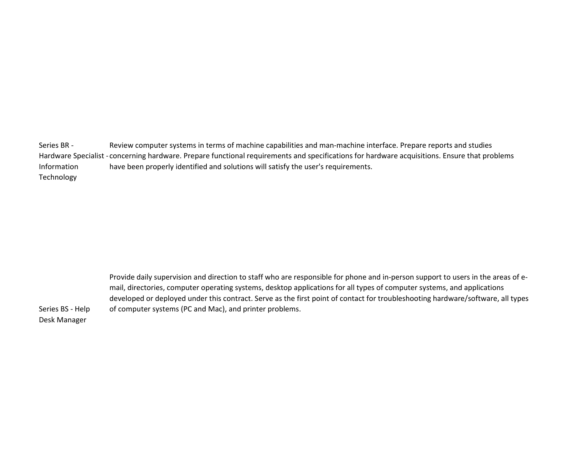Series BR - Hardware Specialist - concerning hardware. Prepare functional requirements and specifications for hardware acquisitions. Ensure that problems Information Technology Review computer systems in terms of machine capabilities and man-machine interface. Prepare reports and studies have been properly identified and solutions will satisfy the user's requirements.

Series BS - Help Desk Manager Provide daily supervision and direction to staff who are responsible for phone and in-person support to users in the areas of email, directories, computer operating systems, desktop applications for all types of computer systems, and applications developed or deployed under this contract. Serve as the first point of contact for troubleshooting hardware/software, all types of computer systems (PC and Mac), and printer problems.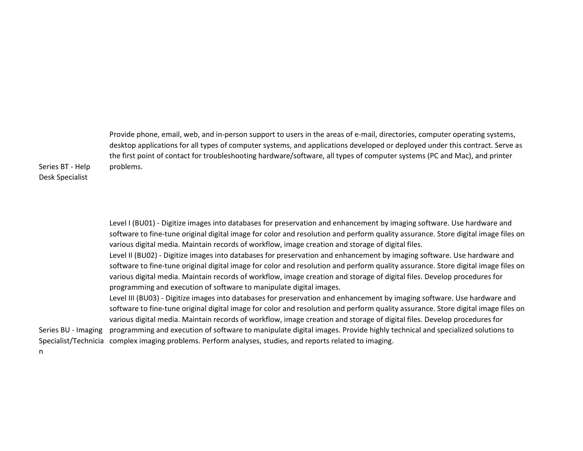Provide phone, email, web, and in-person support to users in the areas of e-mail, directories, computer operating systems, desktop applications for all types of computer systems, and applications developed or deployed under this contract. Serve as the first point of contact for troubleshooting hardware/software, all types of computer systems (PC and Mac), and printer problems.

Series BT - Help Desk Specialist

Series BU - Imaging programming and execution of software to manipulate digital images. Provide highly technical and specialized solutions to Specialist/Technicia complex imaging problems. Perform analyses, studies, and reports related to imaging. Level I (BU01) - Digitize images into databases for preservation and enhancement by imaging software. Use hardware and software to fine-tune original digital image for color and resolution and perform quality assurance. Store digital image files on various digital media. Maintain records of workflow, image creation and storage of digital files. Level II (BU02) - Digitize images into databases for preservation and enhancement by imaging software. Use hardware and software to fine-tune original digital image for color and resolution and perform quality assurance. Store digital image files on various digital media. Maintain records of workflow, image creation and storage of digital files. Develop procedures for programming and execution of software to manipulate digital images. Level III (BU03) - Digitize images into databases for preservation and enhancement by imaging software. Use hardware and software to fine-tune original digital image for color and resolution and perform quality assurance. Store digital image files on various digital media. Maintain records of workflow, image creation and storage of digital files. Develop procedures for

n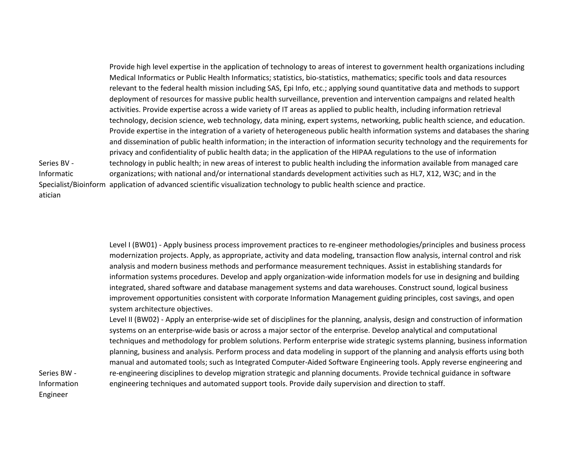Specialist/Bioinform application of advanced scientific visualization technology to public health science and practice. Provide high level expertise in the application of technology to areas of interest to government health organizations including Medical Informatics or Public Health Informatics; statistics, bio-statistics, mathematics; specific tools and data resources relevant to the federal health mission including SAS, Epi Info, etc.; applying sound quantitative data and methods to support deployment of resources for massive public health surveillance, prevention and intervention campaigns and related health activities. Provide expertise across a wide variety of IT areas as applied to public health, including information retrieval technology, decision science, web technology, data mining, expert systems, networking, public health science, and education. Provide expertise in the integration of a variety of heterogeneous public health information systems and databases the sharing and dissemination of public health information; in the interaction of information security technology and the requirements for privacy and confidentiality of public health data; in the application of the HIPAA regulations to the use of information technology in public health; in new areas of interest to public health including the information available from managed care organizations; with national and/or international standards development activities such as HL7, X12, W3C; and in the

> Level I (BW01) - Apply business process improvement practices to re-engineer methodologies/principles and business process modernization projects. Apply, as appropriate, activity and data modeling, transaction flow analysis, internal control and risk analysis and modern business methods and performance measurement techniques. Assist in establishing standards for information systems procedures. Develop and apply organization-wide information models for use in designing and building integrated, shared software and database management systems and data warehouses. Construct sound, logical business improvement opportunities consistent with corporate Information Management guiding principles, cost savings, and open system architecture objectives.

> Level II (BW02) - Apply an enterprise-wide set of disciplines for the planning, analysis, design and construction of information systems on an enterprise-wide basis or across a major sector of the enterprise. Develop analytical and computational techniques and methodology for problem solutions. Perform enterprise wide strategic systems planning, business information planning, business and analysis. Perform process and data modeling in support of the planning and analysis efforts using both manual and automated tools; such as Integrated Computer-Aided Software Engineering tools. Apply reverse engineering and re-engineering disciplines to develop migration strategic and planning documents. Provide technical guidance in software

engineering techniques and automated support tools. Provide daily supervision and direction to staff.

Series BW - Information Engineer

Series BV - Informatic

atician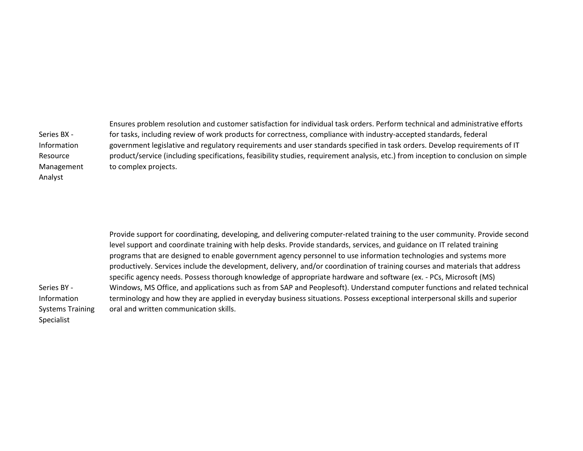Series BX - Information Resource Management Analyst Ensures problem resolution and customer satisfaction for individual task orders. Perform technical and administrative efforts for tasks, including review of work products for correctness, compliance with industry-accepted standards, federal government legislative and regulatory requirements and user standards specified in task orders. Develop requirements of IT product/service (including specifications, feasibility studies, requirement analysis, etc.) from inception to conclusion on simple to complex projects.

Series BY - Information Systems Training Provide support for coordinating, developing, and delivering computer-related training to the user community. Provide second level support and coordinate training with help desks. Provide standards, services, and guidance on IT related training programs that are designed to enable government agency personnel to use information technologies and systems more productively. Services include the development, delivery, and/or coordination of training courses and materials that address specific agency needs. Possess thorough knowledge of appropriate hardware and software (ex. - PCs, Microsoft (MS) Windows, MS Office, and applications such as from SAP and Peoplesoft). Understand computer functions and related technical terminology and how they are applied in everyday business situations. Possess exceptional interpersonal skills and superior oral and written communication skills.

Specialist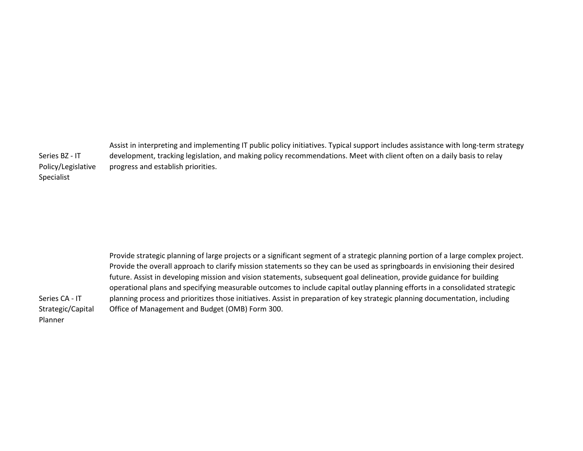Series BZ - IT Policy/Legislative Specialist Assist in interpreting and implementing IT public policy initiatives. Typical support includes assistance with long-term strategy development, tracking legislation, and making policy recommendations. Meet with client often on a daily basis to relay progress and establish priorities.

Series CA - IT Strategic/Capital Planner Provide strategic planning of large projects or a significant segment of a strategic planning portion of a large complex project. Provide the overall approach to clarify mission statements so they can be used as springboards in envisioning their desired future. Assist in developing mission and vision statements, subsequent goal delineation, provide guidance for building operational plans and specifying measurable outcomes to include capital outlay planning efforts in a consolidated strategic planning process and prioritizes those initiatives. Assist in preparation of key strategic planning documentation, including Office of Management and Budget (OMB) Form 300.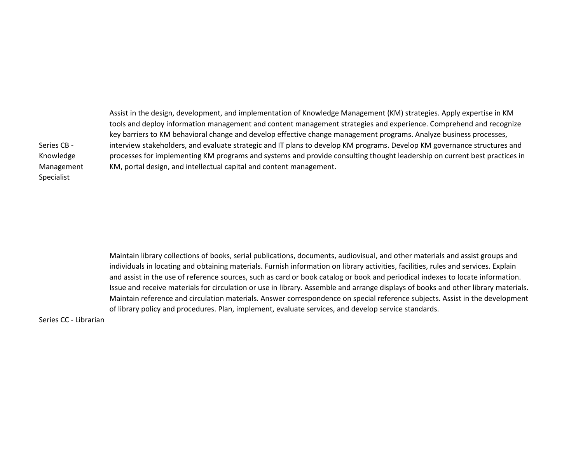Assist in the design, development, and implementation of Knowledge Management (KM) strategies. Apply expertise in KM tools and deploy information management and content management strategies and experience. Comprehend and recognize key barriers to KM behavioral change and develop effective change management programs. Analyze business processes, interview stakeholders, and evaluate strategic and IT plans to develop KM programs. Develop KM governance structures and processes for implementing KM programs and systems and provide consulting thought leadership on current best practices in KM, portal design, and intellectual capital and content management.

Maintain library collections of books, serial publications, documents, audiovisual, and other materials and assist groups and individuals in locating and obtaining materials. Furnish information on library activities, facilities, rules and services. Explain and assist in the use of reference sources, such as card or book catalog or book and periodical indexes to locate information. Issue and receive materials for circulation or use in library. Assemble and arrange displays of books and other library materials. Maintain reference and circulation materials. Answer correspondence on special reference subjects. Assist in the development of library policy and procedures. Plan, implement, evaluate services, and develop service standards.

Series CC - Librarian

Series CB - Knowledge Management Specialist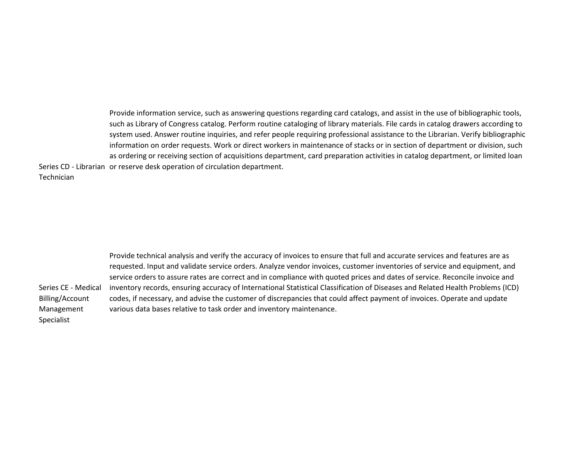Series CD - Librarian or reserve desk operation of circulation department. Provide information service, such as answering questions regarding card catalogs, and assist in the use of bibliographic tools, such as Library of Congress catalog. Perform routine cataloging of library materials. File cards in catalog drawers according to system used. Answer routine inquiries, and refer people requiring professional assistance to the Librarian. Verify bibliographic information on order requests. Work or direct workers in maintenance of stacks or in section of department or division, such as ordering or receiving section of acquisitions department, card preparation activities in catalog department, or limited loan

**Technician** 

|                     | Provide technical analysis and verify the accuracy of invoices to ensure that full and accurate services and features are as   |
|---------------------|--------------------------------------------------------------------------------------------------------------------------------|
|                     | requested. Input and validate service orders. Analyze vendor invoices, customer inventories of service and equipment, and      |
|                     | service orders to assure rates are correct and in compliance with quoted prices and dates of service. Reconcile invoice and    |
| Series CE - Medical | inventory records, ensuring accuracy of International Statistical Classification of Diseases and Related Health Problems (ICD) |
| Billing/Account     | codes, if necessary, and advise the customer of discrepancies that could affect payment of invoices. Operate and update        |
| Management          | various data bases relative to task order and inventory maintenance.                                                           |
| Specialist          |                                                                                                                                |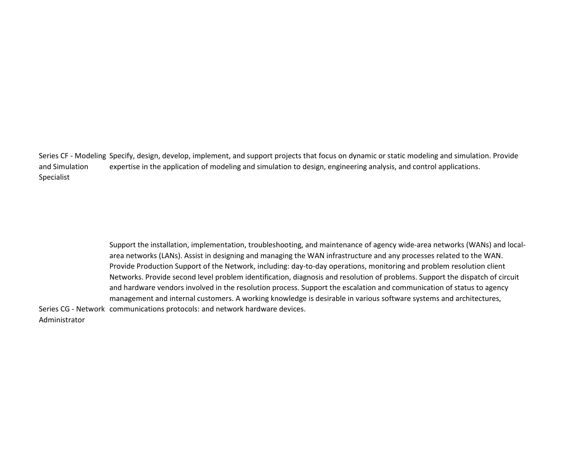Series CF - Modeling Specify, design, develop, implement, and support projects that focus on dynamic or static modeling and simulation. Provide and Simulation Specialist expertise in the application of modeling and simulation to design, engineering analysis, and control applications.

Series CG - Network communications protocols: and network hardware devices. Administrator Support the installation, implementation, troubleshooting, and maintenance of agency wide-area networks (WANs) and localarea networks (LANs). Assist in designing and managing the WAN infrastructure and any processes related to the WAN. Provide Production Support of the Network, including: day-to-day operations, monitoring and problem resolution client Networks. Provide second level problem identification, diagnosis and resolution of problems. Support the dispatch of circuit and hardware vendors involved in the resolution process. Support the escalation and communication of status to agency management and internal customers. A working knowledge is desirable in various software systems and architectures,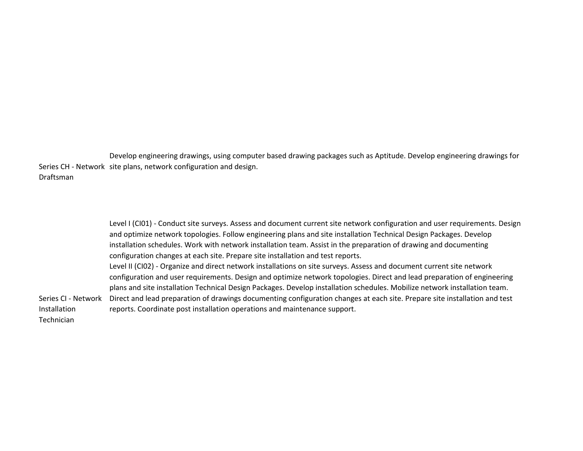Series CH - Network site plans, network configuration and design. Draftsman Develop engineering drawings, using computer based drawing packages such as Aptitude. Develop engineering drawings for

Series CI - Network Direct and lead preparation of drawings documenting configuration changes at each site. Prepare site installation and test Installation **Technician** Level I (CI01) - Conduct site surveys. Assess and document current site network configuration and user requirements. Design and optimize network topologies. Follow engineering plans and site installation Technical Design Packages. Develop installation schedules. Work with network installation team. Assist in the preparation of drawing and documenting configuration changes at each site. Prepare site installation and test reports. Level II (CI02) - Organize and direct network installations on site surveys. Assess and document current site network configuration and user requirements. Design and optimize network topologies. Direct and lead preparation of engineering plans and site installation Technical Design Packages. Develop installation schedules. Mobilize network installation team. reports. Coordinate post installation operations and maintenance support.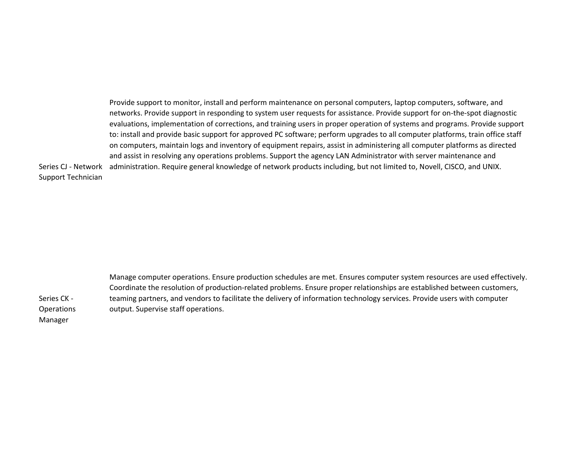Series CJ - Network administration. Require general knowledge of network products including, but not limited to, Novell, CISCO, and UNIX. Provide support to monitor, install and perform maintenance on personal computers, laptop computers, software, and networks. Provide support in responding to system user requests for assistance. Provide support for on-the-spot diagnostic evaluations, implementation of corrections, and training users in proper operation of systems and programs. Provide support to: install and provide basic support for approved PC software; perform upgrades to all computer platforms, train office staff on computers, maintain logs and inventory of equipment repairs, assist in administering all computer platforms as directed and assist in resolving any operations problems. Support the agency LAN Administrator with server maintenance and

Series CK - **Operations** Manager Manage computer operations. Ensure production schedules are met. Ensures computer system resources are used effectively. Coordinate the resolution of production-related problems. Ensure proper relationships are established between customers, teaming partners, and vendors to facilitate the delivery of information technology services. Provide users with computer output. Supervise staff operations.

Support Technician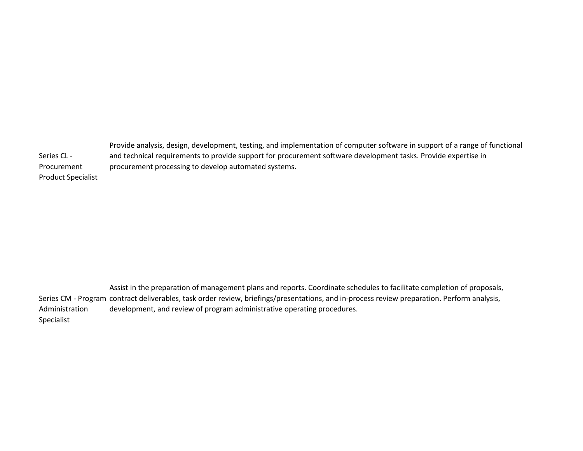Series CL - Procurement Product Specialist Provide analysis, design, development, testing, and implementation of computer software in support of a range of functional and technical requirements to provide support for procurement software development tasks. Provide expertise in procurement processing to develop automated systems.

Series CM - Program contract deliverables, task order review, briefings/presentations, and in-process review preparation. Perform analysis, Administration Specialist Assist in the preparation of management plans and reports. Coordinate schedules to facilitate completion of proposals, development, and review of program administrative operating procedures.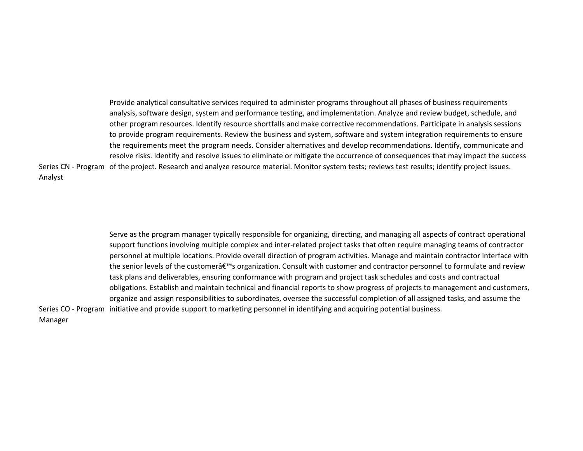Provide analytical consultative services required to administer programs throughout all phases of business requirements analysis, software design, system and performance testing, and implementation. Analyze and review budget, schedule, and other program resources. Identify resource shortfalls and make corrective recommendations. Participate in analysis sessions to provide program requirements. Review the business and system, software and system integration requirements to ensure the requirements meet the program needs. Consider alternatives and develop recommendations. Identify, communicate and resolve risks. Identify and resolve issues to eliminate or mitigate the occurrence of consequences that may impact the success

Series CN - Program of the project. Research and analyze resource material. Monitor system tests; reviews test results; identify project issues. Analyst

Series CO - Program initiative and provide support to marketing personnel in identifying and acquiring potential business. Serve as the program manager typically responsible for organizing, directing, and managing all aspects of contract operational support functions involving multiple complex and inter-related project tasks that often require managing teams of contractor personnel at multiple locations. Provide overall direction of program activities. Manage and maintain contractor interface with the senior levels of the customer's organization. Consult with customer and contractor personnel to formulate and review task plans and deliverables, ensuring conformance with program and project task schedules and costs and contractual obligations. Establish and maintain technical and financial reports to show progress of projects to management and customers, organize and assign responsibilities to subordinates, oversee the successful completion of all assigned tasks, and assume the

Manager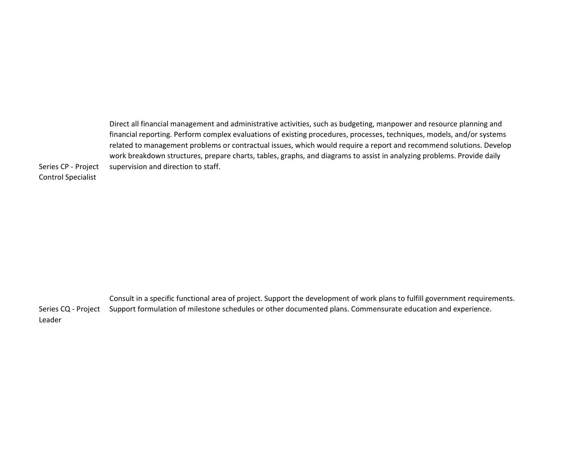Direct all financial management and administrative activities, such as budgeting, manpower and resource planning and financial reporting. Perform complex evaluations of existing procedures, processes, techniques, models, and/or systems related to management problems or contractual issues, which would require a report and recommend solutions. Develop work breakdown structures, prepare charts, tables, graphs, and diagrams to assist in analyzing problems. Provide daily supervision and direction to staff.

Series CP - Project Control Specialist

Series CQ - Project Support formulation of milestone schedules or other documented plans. Commensurate education and experience. Leader Consult in a specific functional area of project. Support the development of work plans to fulfill government requirements.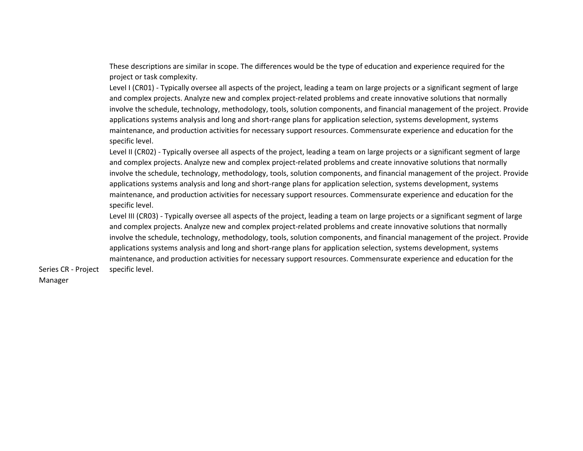These descriptions are similar in scope. The differences would be the type of education and experience required for the project or task complexity.

Level I (CR01) - Typically oversee all aspects of the project, leading a team on large projects or a significant segment of large and complex projects. Analyze new and complex project-related problems and create innovative solutions that normally involve the schedule, technology, methodology, tools, solution components, and financial management of the project. Provide applications systems analysis and long and short-range plans for application selection, systems development, systems maintenance, and production activities for necessary support resources. Commensurate experience and education for the specific level.

Level II (CR02) - Typically oversee all aspects of the project, leading a team on large projects or a significant segment of large and complex projects. Analyze new and complex project-related problems and create innovative solutions that normally involve the schedule, technology, methodology, tools, solution components, and financial management of the project. Provide applications systems analysis and long and short-range plans for application selection, systems development, systems maintenance, and production activities for necessary support resources. Commensurate experience and education for the specific level.

Level III (CR03) - Typically oversee all aspects of the project, leading a team on large projects or a significant segment of large and complex projects. Analyze new and complex project-related problems and create innovative solutions that normally involve the schedule, technology, methodology, tools, solution components, and financial management of the project. Provide applications systems analysis and long and short-range plans for application selection, systems development, systems maintenance, and production activities for necessary support resources. Commensurate experience and education for the

Series CR - Project specific level.

## Manager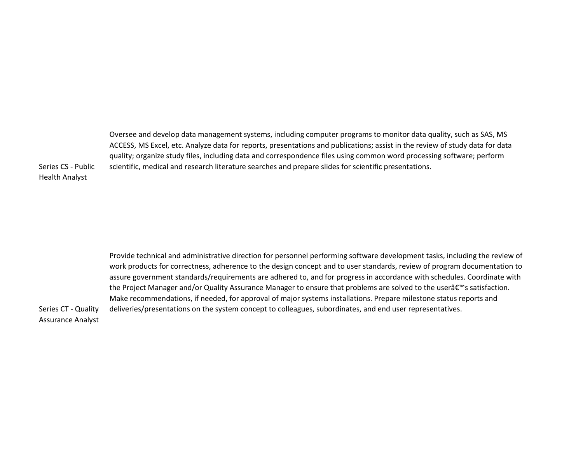Series CS - Public Health Analyst Oversee and develop data management systems, including computer programs to monitor data quality, such as SAS, MS ACCESS, MS Excel, etc. Analyze data for reports, presentations and publications; assist in the review of study data for data quality; organize study files, including data and correspondence files using common word processing software; perform scientific, medical and research literature searches and prepare slides for scientific presentations.

> Provide technical and administrative direction for personnel performing software development tasks, including the review of work products for correctness, adherence to the design concept and to user standards, review of program documentation to assure government standards/requirements are adhered to, and for progress in accordance with schedules. Coordinate with the Project Manager and/or Quality Assurance Manager to ensure that problems are solved to the user $â€^M$ s satisfaction. Make recommendations, if needed, for approval of major systems installations. Prepare milestone status reports and deliveries/presentations on the system concept to colleagues, subordinates, and end user representatives.

Series CT - Quality Assurance Analyst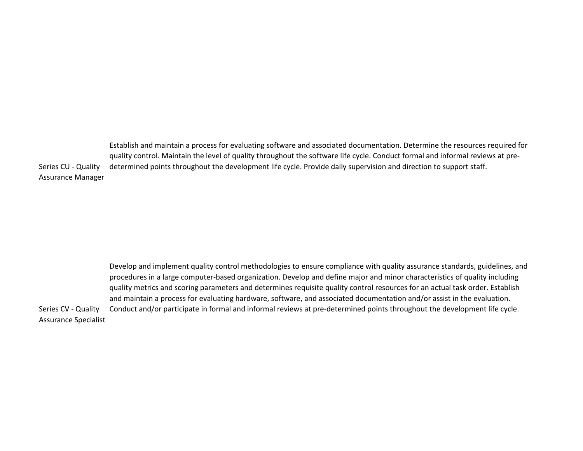Series CU - Quality Assurance Manager Establish and maintain a process for evaluating software and associated documentation. Determine the resources required for quality control. Maintain the level of quality throughout the software life cycle. Conduct formal and informal reviews at predetermined points throughout the development life cycle. Provide daily supervision and direction to support staff.

Series CV - Quality Assurance Specialist Develop and implement quality control methodologies to ensure compliance with quality assurance standards, guidelines, and procedures in a large computer-based organization. Develop and define major and minor characteristics of quality including quality metrics and scoring parameters and determines requisite quality control resources for an actual task order. Establish and maintain a process for evaluating hardware, software, and associated documentation and/or assist in the evaluation. Conduct and/or participate in formal and informal reviews at pre-determined points throughout the development life cycle.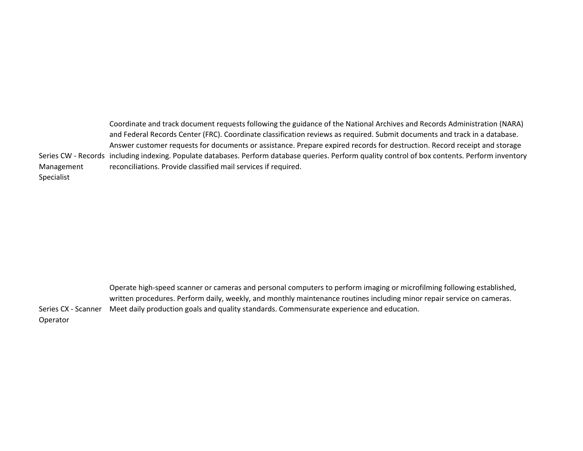Series CW - Records including indexing. Populate databases. Perform database queries. Perform quality control of box contents. Perform inventory Management Specialist Coordinate and track document requests following the guidance of the National Archives and Records Administration (NARA) and Federal Records Center (FRC). Coordinate classification reviews as required. Submit documents and track in a database. Answer customer requests for documents or assistance. Prepare expired records for destruction. Record receipt and storage reconciliations. Provide classified mail services if required.

Series CX - Scanner Operator Operate high-speed scanner or cameras and personal computers to perform imaging or microfilming following established, written procedures. Perform daily, weekly, and monthly maintenance routines including minor repair service on cameras. Meet daily production goals and quality standards. Commensurate experience and education.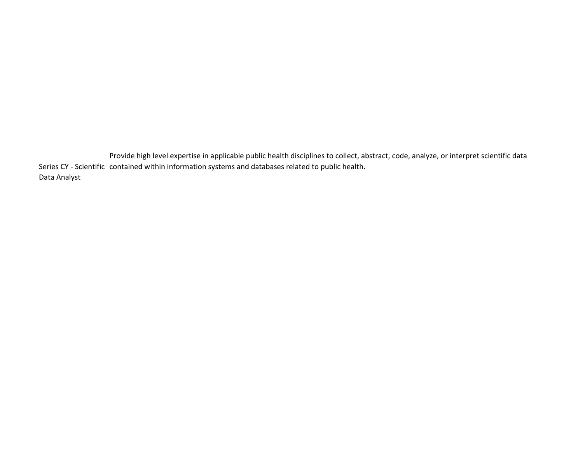Series CY - Scientific contained within information systems and databases related to public health. Data Analyst Provide high level expertise in applicable public health disciplines to collect, abstract, code, analyze, or interpret scientific data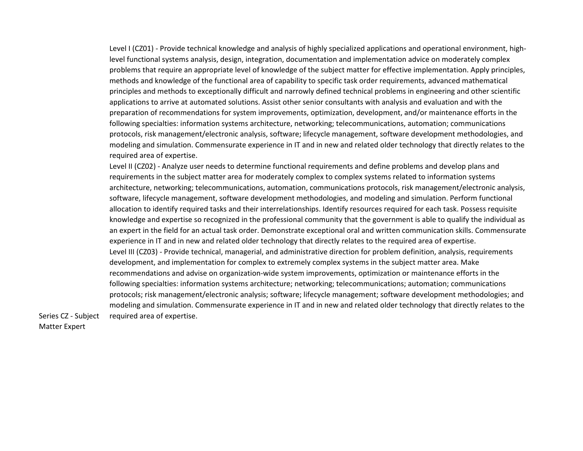Level I (CZ01) - Provide technical knowledge and analysis of highly specialized applications and operational environment, highlevel functional systems analysis, design, integration, documentation and implementation advice on moderately complex problems that require an appropriate level of knowledge of the subject matter for effective implementation. Apply principles, methods and knowledge of the functional area of capability to specific task order requirements, advanced mathematical principles and methods to exceptionally difficult and narrowly defined technical problems in engineering and other scientific applications to arrive at automated solutions. Assist other senior consultants with analysis and evaluation and with the preparation of recommendations for system improvements, optimization, development, and/or maintenance efforts in the following specialties: information systems architecture, networking; telecommunications, automation; communications protocols, risk management/electronic analysis, software; lifecycle management, software development methodologies, and modeling and simulation. Commensurate experience in IT and in new and related older technology that directly relates to the required area of expertise.

Level II (CZ02) - Analyze user needs to determine functional requirements and define problems and develop plans and requirements in the subject matter area for moderately complex to complex systems related to information systems architecture, networking; telecommunications, automation, communications protocols, risk management/electronic analysis, software, lifecycle management, software development methodologies, and modeling and simulation. Perform functional allocation to identify required tasks and their interrelationships. Identify resources required for each task. Possess requisite knowledge and expertise so recognized in the professional community that the government is able to qualify the individual as an expert in the field for an actual task order. Demonstrate exceptional oral and written communication skills. Commensurate experience in IT and in new and related older technology that directly relates to the required area of expertise. Level III (CZ03) - Provide technical, managerial, and administrative direction for problem definition, analysis, requirements development, and implementation for complex to extremely complex systems in the subject matter area. Make recommendations and advise on organization-wide system improvements, optimization or maintenance efforts in the following specialties: information systems architecture; networking; telecommunications; automation; communications protocols; risk management/electronic analysis; software; lifecycle management; software development methodologies; and modeling and simulation. Commensurate experience in IT and in new and related older technology that directly relates to the required area of expertise.

Series CZ - Subject Matter Expert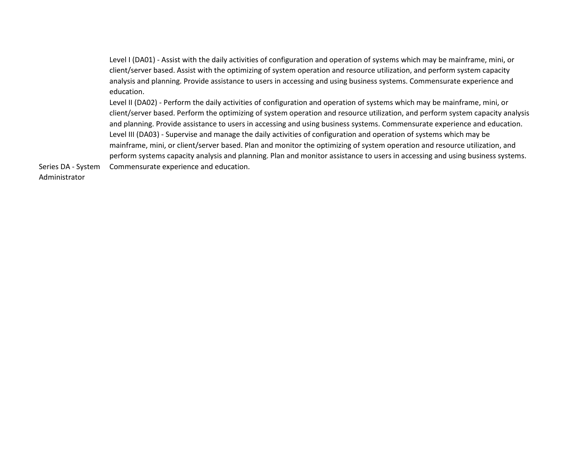Level I (DA01) - Assist with the daily activities of configuration and operation of systems which may be mainframe, mini, or client/server based. Assist with the optimizing of system operation and resource utilization, and perform system capacity analysis and planning. Provide assistance to users in accessing and using business systems. Commensurate experience and education.

Level II (DA02) - Perform the daily activities of configuration and operation of systems which may be mainframe, mini, or client/server based. Perform the optimizing of system operation and resource utilization, and perform system capacity analysis and planning. Provide assistance to users in accessing and using business systems. Commensurate experience and education. Level III (DA03) - Supervise and manage the daily activities of configuration and operation of systems which may be mainframe, mini, or client/server based. Plan and monitor the optimizing of system operation and resource utilization, and perform systems capacity analysis and planning. Plan and monitor assistance to users in accessing and using business systems.

Series DA - System Commensurate experience and education.

Administrator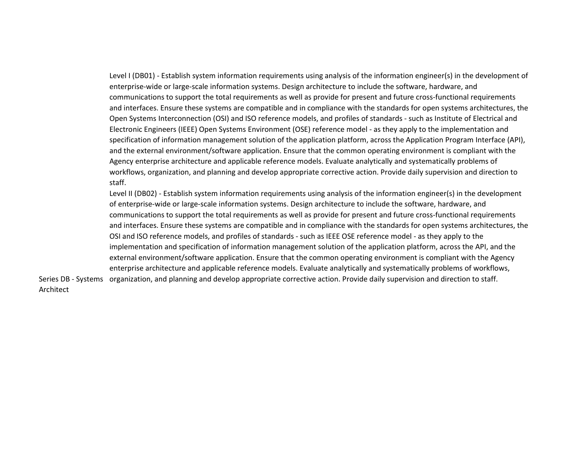Level I (DB01) - Establish system information requirements using analysis of the information engineer(s) in the development of enterprise-wide or large-scale information systems. Design architecture to include the software, hardware, and communications to support the total requirements as well as provide for present and future cross-functional requirements and interfaces. Ensure these systems are compatible and in compliance with the standards for open systems architectures, the Open Systems Interconnection (OSI) and ISO reference models, and profiles of standards - such as Institute of Electrical and Electronic Engineers (IEEE) Open Systems Environment (OSE) reference model - as they apply to the implementation and specification of information management solution of the application platform, across the Application Program Interface (API), and the external environment/software application. Ensure that the common operating environment is compliant with the Agency enterprise architecture and applicable reference models. Evaluate analytically and systematically problems of workflows, organization, and planning and develop appropriate corrective action. Provide daily supervision and direction to staff.

Level II (DB02) - Establish system information requirements using analysis of the information engineer(s) in the development of enterprise-wide or large-scale information systems. Design architecture to include the software, hardware, and communications to support the total requirements as well as provide for present and future cross-functional requirements and interfaces. Ensure these systems are compatible and in compliance with the standards for open systems architectures, the OSI and ISO reference models, and profiles of standards - such as IEEE OSE reference model - as they apply to the implementation and specification of information management solution of the application platform, across the API, and the external environment/software application. Ensure that the common operating environment is compliant with the Agency enterprise architecture and applicable reference models. Evaluate analytically and systematically problems of workflows,

Series DB - Systems organization, and planning and develop appropriate corrective action. Provide daily supervision and direction to staff. Architect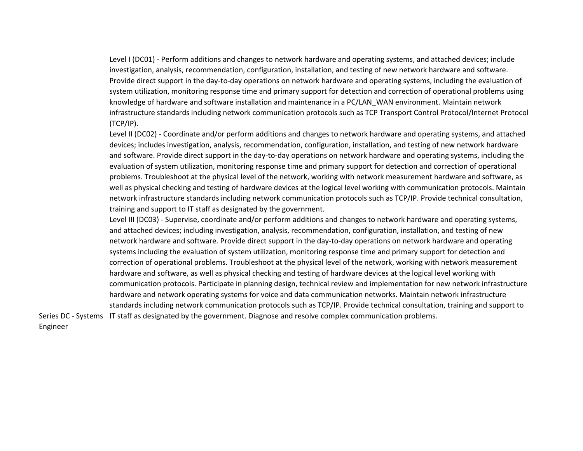Level I (DC01) - Perform additions and changes to network hardware and operating systems, and attached devices; include investigation, analysis, recommendation, configuration, installation, and testing of new network hardware and software. Provide direct support in the day-to-day operations on network hardware and operating systems, including the evaluation of system utilization, monitoring response time and primary support for detection and correction of operational problems using knowledge of hardware and software installation and maintenance in a PC/LAN\_WAN environment. Maintain network infrastructure standards including network communication protocols such as TCP Transport Control Protocol/Internet Protocol (TCP/IP).

Level II (DC02) - Coordinate and/or perform additions and changes to network hardware and operating systems, and attached devices; includes investigation, analysis, recommendation, configuration, installation, and testing of new network hardware and software. Provide direct support in the day-to-day operations on network hardware and operating systems, including the evaluation of system utilization, monitoring response time and primary support for detection and correction of operational problems. Troubleshoot at the physical level of the network, working with network measurement hardware and software, as well as physical checking and testing of hardware devices at the logical level working with communication protocols. Maintain network infrastructure standards including network communication protocols such as TCP/IP. Provide technical consultation, training and support to IT staff as designated by the government.

Level III (DC03) - Supervise, coordinate and/or perform additions and changes to network hardware and operating systems, and attached devices; including investigation, analysis, recommendation, configuration, installation, and testing of new network hardware and software. Provide direct support in the day-to-day operations on network hardware and operating systems including the evaluation of system utilization, monitoring response time and primary support for detection and correction of operational problems. Troubleshoot at the physical level of the network, working with network measurement hardware and software, as well as physical checking and testing of hardware devices at the logical level working with communication protocols. Participate in planning design, technical review and implementation for new network infrastructure hardware and network operating systems for voice and data communication networks. Maintain network infrastructure standards including network communication protocols such as TCP/IP. Provide technical consultation, training and support to

Series DC - Systems IT staff as designated by the government. Diagnose and resolve complex communication problems. Engineer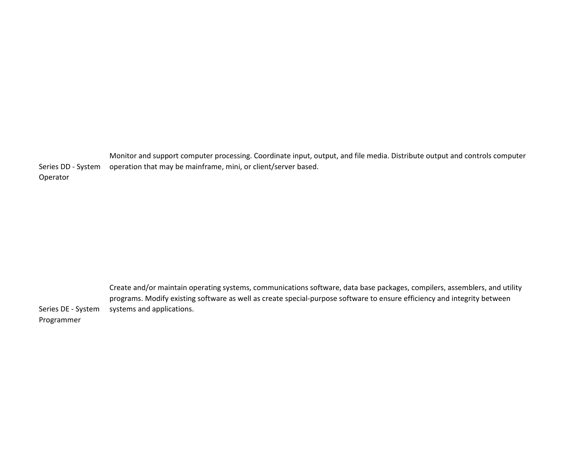Series DD - System operation that may be mainframe, mini, or client/server based. Operator Monitor and support computer processing. Coordinate input, output, and file media. Distribute output and controls computer

Series DE - System Programmer Create and/or maintain operating systems, communications software, data base packages, compilers, assemblers, and utility programs. Modify existing software as well as create special-purpose software to ensure efficiency and integrity between systems and applications.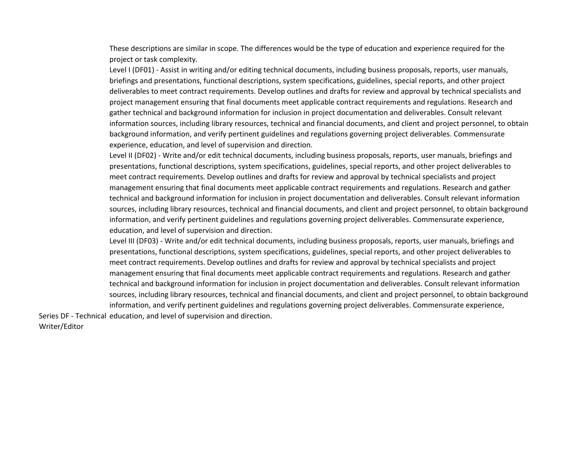These descriptions are similar in scope. The differences would be the type of education and experience required for the project or task complexity.

Level I (DF01) - Assist in writing and/or editing technical documents, including business proposals, reports, user manuals, briefings and presentations, functional descriptions, system specifications, guidelines, special reports, and other project deliverables to meet contract requirements. Develop outlines and drafts for review and approval by technical specialists and project management ensuring that final documents meet applicable contract requirements and regulations. Research and gather technical and background information for inclusion in project documentation and deliverables. Consult relevant information sources, including library resources, technical and financial documents, and client and project personnel, to obtain background information, and verify pertinent guidelines and regulations governing project deliverables. Commensurate experience, education, and level of supervision and direction.

Level II (DF02) - Write and/or edit technical documents, including business proposals, reports, user manuals, briefings and presentations, functional descriptions, system specifications, guidelines, special reports, and other project deliverables to meet contract requirements. Develop outlines and drafts for review and approval by technical specialists and project management ensuring that final documents meet applicable contract requirements and regulations. Research and gather technical and background information for inclusion in project documentation and deliverables. Consult relevant information sources, including library resources, technical and financial documents, and client and project personnel, to obtain background information, and verify pertinent guidelines and regulations governing project deliverables. Commensurate experience, education, and level of supervision and direction.

Level III (DF03) - Write and/or edit technical documents, including business proposals, reports, user manuals, briefings and presentations, functional descriptions, system specifications, guidelines, special reports, and other project deliverables to meet contract requirements. Develop outlines and drafts for review and approval by technical specialists and project management ensuring that final documents meet applicable contract requirements and regulations. Research and gather technical and background information for inclusion in project documentation and deliverables. Consult relevant information sources, including library resources, technical and financial documents, and client and project personnel, to obtain background information, and verify pertinent guidelines and regulations governing project deliverables. Commensurate experience,

Series DF - Technical education, and level of supervision and direction.Writer/Editor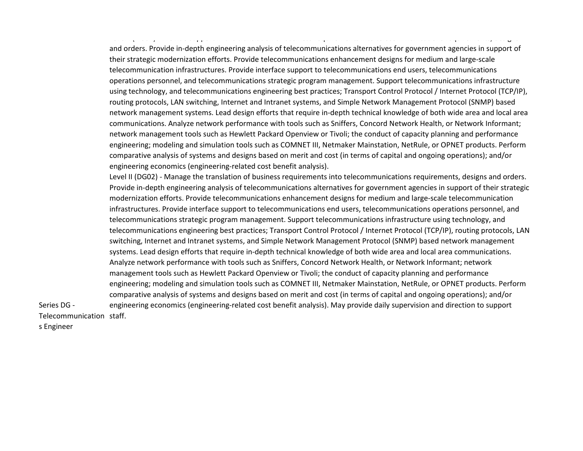and orders. Provide in-depth engineering analysis of telecommunications alternatives for government agencies in support of their strategic modernization efforts. Provide telecommunications enhancement designs for medium and large-scale telecommunication infrastructures. Provide interface support to telecommunications end users, telecommunications operations personnel, and telecommunications strategic program management. Support telecommunications infrastructure using technology, and telecommunications engineering best practices; Transport Control Protocol / Internet Protocol (TCP/IP), routing protocols, LAN switching, Internet and Intranet systems, and Simple Network Management Protocol (SNMP) based network management systems. Lead design efforts that require in-depth technical knowledge of both wide area and local area communications. Analyze network performance with tools such as Sniffers, Concord Network Health, or Network Informant; network management tools such as Hewlett Packard Openview or Tivoli; the conduct of capacity planning and performance engineering; modeling and simulation tools such as COMNET III, Netmaker Mainstation, NetRule, or OPNET products. Perform comparative analysis of systems and designs based on merit and cost (in terms of capital and ongoing operations); and/or engineering economics (engineering-related cost benefit analysis).

Level I (DG01) - Provide support in the translation of business requirements into telecommunications requirements, designs

Level II (DG02) - Manage the translation of business requirements into telecommunications requirements, designs and orders. Provide in-depth engineering analysis of telecommunications alternatives for government agencies in support of their strategic modernization efforts. Provide telecommunications enhancement designs for medium and large-scale telecommunication infrastructures. Provide interface support to telecommunications end users, telecommunications operations personnel, and telecommunications strategic program management. Support telecommunications infrastructure using technology, and telecommunications engineering best practices; Transport Control Protocol / Internet Protocol (TCP/IP), routing protocols, LAN switching, Internet and Intranet systems, and Simple Network Management Protocol (SNMP) based network management systems. Lead design efforts that require in-depth technical knowledge of both wide area and local area communications. Analyze network performance with tools such as Sniffers, Concord Network Health, or Network Informant; network management tools such as Hewlett Packard Openview or Tivoli; the conduct of capacity planning and performance engineering; modeling and simulation tools such as COMNET III, Netmaker Mainstation, NetRule, or OPNET products. Perform comparative analysis of systems and designs based on merit and cost (in terms of capital and ongoing operations); and/or

Series DG - Telecommunication staff.engineering economics (engineering-related cost benefit analysis). May provide daily supervision and direction to support

s Engineer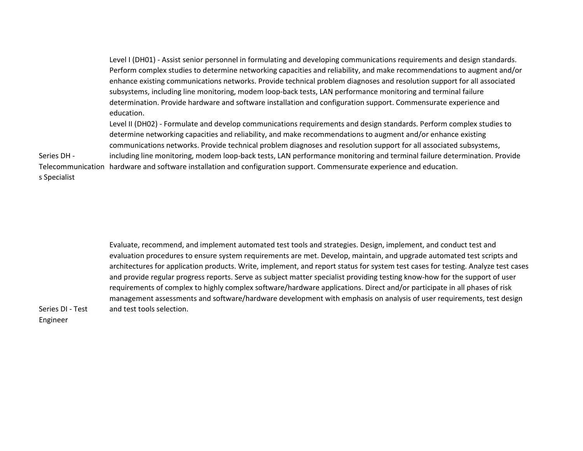Level I (DH01) - Assist senior personnel in formulating and developing communications requirements and design standards. Perform complex studies to determine networking capacities and reliability, and make recommendations to augment and/or enhance existing communications networks. Provide technical problem diagnoses and resolution support for all associated subsystems, including line monitoring, modem loop-back tests, LAN performance monitoring and terminal failure determination. Provide hardware and software installation and configuration support. Commensurate experience and education.

Level II (DH02) - Formulate and develop communications requirements and design standards. Perform complex studies to determine networking capacities and reliability, and make recommendations to augment and/or enhance existing communications networks. Provide technical problem diagnoses and resolution support for all associated subsystems,

Series DH - Telecommunication hardware and software installation and configuration support. Commensurate experience and education. s Specialist including line monitoring, modem loop-back tests, LAN performance monitoring and terminal failure determination. Provide

> Evaluate, recommend, and implement automated test tools and strategies. Design, implement, and conduct test and evaluation procedures to ensure system requirements are met. Develop, maintain, and upgrade automated test scripts and architectures for application products. Write, implement, and report status for system test cases for testing. Analyze test cases and provide regular progress reports. Serve as subject matter specialist providing testing know-how for the support of user requirements of complex to highly complex software/hardware applications. Direct and/or participate in all phases of risk management assessments and software/hardware development with emphasis on analysis of user requirements, test design and test tools selection.

Series DI - Test Engineer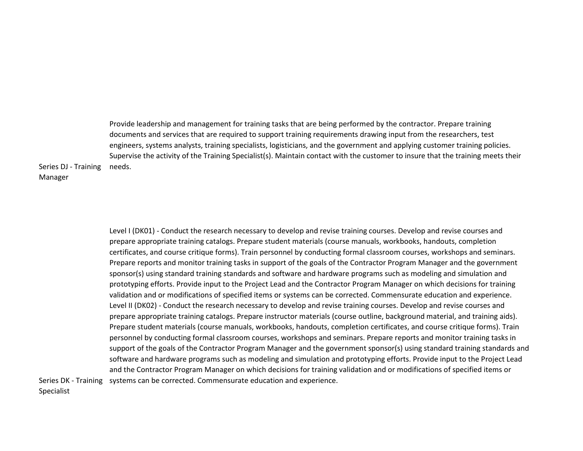Series DJ - Training Provide leadership and management for training tasks that are being performed by the contractor. Prepare training documents and services that are required to support training requirements drawing input from the researchers, test engineers, systems analysts, training specialists, logisticians, and the government and applying customer training policies. Supervise the activity of the Training Specialist(s). Maintain contact with the customer to insure that the training meets their needs.

## Manager

Series DK - Training systems can be corrected. Commensurate education and experience. Level I (DK01) - Conduct the research necessary to develop and revise training courses. Develop and revise courses and prepare appropriate training catalogs. Prepare student materials (course manuals, workbooks, handouts, completion certificates, and course critique forms). Train personnel by conducting formal classroom courses, workshops and seminars. Prepare reports and monitor training tasks in support of the goals of the Contractor Program Manager and the government sponsor(s) using standard training standards and software and hardware programs such as modeling and simulation and prototyping efforts. Provide input to the Project Lead and the Contractor Program Manager on which decisions for training validation and or modifications of specified items or systems can be corrected. Commensurate education and experience. Level II (DK02) - Conduct the research necessary to develop and revise training courses. Develop and revise courses and prepare appropriate training catalogs. Prepare instructor materials (course outline, background material, and training aids). Prepare student materials (course manuals, workbooks, handouts, completion certificates, and course critique forms). Train personnel by conducting formal classroom courses, workshops and seminars. Prepare reports and monitor training tasks in support of the goals of the Contractor Program Manager and the government sponsor(s) using standard training standards and software and hardware programs such as modeling and simulation and prototyping efforts. Provide input to the Project Lead and the Contractor Program Manager on which decisions for training validation and or modifications of specified items or

Specialist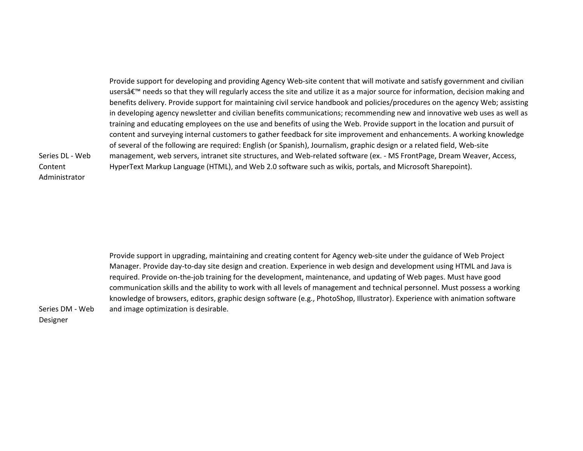Provide support for developing and providing Agency Web-site content that will motivate and satisfy government and civilian users' needs so that they will regularly access the site and utilize it as a major source for information, decision making and benefits delivery. Provide support for maintaining civil service handbook and policies/procedures on the agency Web; assisting in developing agency newsletter and civilian benefits communications; recommending new and innovative web uses as well as training and educating employees on the use and benefits of using the Web. Provide support in the location and pursuit of content and surveying internal customers to gather feedback for site improvement and enhancements. A working knowledge of several of the following are required: English (or Spanish), Journalism, graphic design or a related field, Web-site management, web servers, intranet site structures, and Web-related software (ex. - MS FrontPage, Dream Weaver, Access, HyperText Markup Language (HTML), and Web 2.0 software such as wikis, portals, and Microsoft Sharepoint).

Provide support in upgrading, maintaining and creating content for Agency web-site under the guidance of Web Project Manager. Provide day-to-day site design and creation. Experience in web design and development using HTML and Java is required. Provide on-the-job training for the development, maintenance, and updating of Web pages. Must have good communication skills and the ability to work with all levels of management and technical personnel. Must possess a working knowledge of browsers, editors, graphic design software (e.g., PhotoShop, Illustrator). Experience with animation software and image optimization is desirable.

Series DM - Web

Series DL - Web

Content Administrator

Designer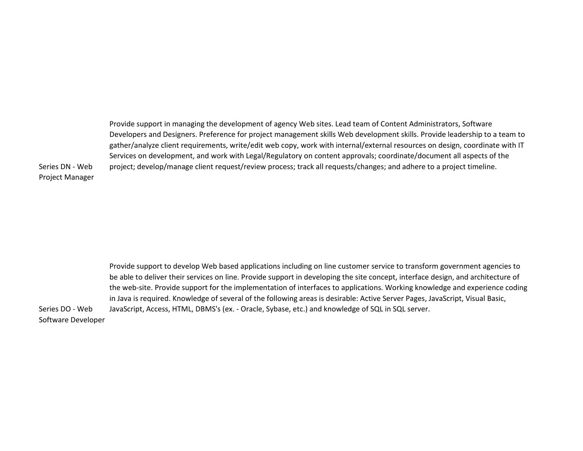Series DN - Web Project Manager Provide support in managing the development of agency Web sites. Lead team of Content Administrators, Software Developers and Designers. Preference for project management skills Web development skills. Provide leadership to a team to gather/analyze client requirements, write/edit web copy, work with internal/external resources on design, coordinate with IT Services on development, and work with Legal/Regulatory on content approvals; coordinate/document all aspects of the project; develop/manage client request/review process; track all requests/changes; and adhere to a project timeline.

Series DO - Web Provide support to develop Web based applications including on line customer service to transform government agencies to be able to deliver their services on line. Provide support in developing the site concept, interface design, and architecture of the web-site. Provide support for the implementation of interfaces to applications. Working knowledge and experience coding in Java is required. Knowledge of several of the following areas is desirable: Active Server Pages, JavaScript, Visual Basic, JavaScript, Access, HTML, DBMS's (ex. - Oracle, Sybase, etc.) and knowledge of SQL in SQL server.

Software Developer